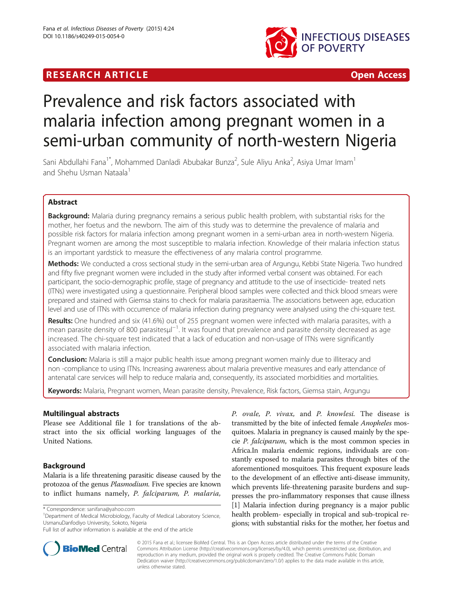# **RESEARCH ARTICLE EXECUTE: CONSIDERING A RESEARCH ARTICLE**



# Prevalence and risk factors associated with malaria infection among pregnant women in a semi-urban community of north-western Nigeria

Sani Abdullahi Fana $^{\text{1*}}$ , Mohammed Danladi Abubakar Bunza $^{\text{2}}$ , Sule Aliyu Anka $^{\text{2}}$ , Asiya Umar Imam $^{\text{1}}$ and Shehu Usman Nataala<sup>1</sup>

# Abstract

Background: Malaria during pregnancy remains a serious public health problem, with substantial risks for the mother, her foetus and the newborn. The aim of this study was to determine the prevalence of malaria and possible risk factors for malaria infection among pregnant women in a semi-urban area in north-western Nigeria. Pregnant women are among the most susceptible to malaria infection. Knowledge of their malaria infection status is an important yardstick to measure the effectiveness of any malaria control programme.

Methods: We conducted a cross sectional study in the semi-urban area of Argungu, Kebbi State Nigeria. Two hundred and fifty five pregnant women were included in the study after informed verbal consent was obtained. For each participant, the socio-demographic profile, stage of pregnancy and attitude to the use of insecticide- treated nets (ITNs) were investigated using a questionnaire. Peripheral blood samples were collected and thick blood smears were prepared and stained with Giemsa stains to check for malaria parasitaemia. The associations between age, education level and use of ITNs with occurrence of malaria infection during pregnancy were analysed using the chi-square test.

Results: One hundred and six (41.6%) out of 255 pregnant women were infected with malaria parasites, with a mean parasite density of 800 parasitesµl<sup>-1</sup>. It was found that prevalence and parasite density decreased as age increased. The chi-square test indicated that a lack of education and non-usage of ITNs were significantly associated with malaria infection.

**Conclusion:** Malaria is still a major public health issue among pregnant women mainly due to illiteracy and non -compliance to using ITNs. Increasing awareness about malaria preventive measures and early attendance of antenatal care services will help to reduce malaria and, consequently, its associated morbidities and mortalities.

Keywords: Malaria, Pregnant women, Mean parasite density, Prevalence, Risk factors, Giemsa stain, Argungu

# Multilingual abstracts

Please see Additional file [1](#page-3-0) for translations of the abstract into the six official working languages of the United Nations.

# Background

Malaria is a life threatening parasitic disease caused by the protozoa of the genus Plasmodium. Five species are known to inflict humans namely, P. falciparum, P. malaria,

\* Correspondence: [sanifana@yahoo.com](mailto:sanifana@yahoo.com) <sup>1</sup>

<sup>1</sup>Department of Medical Microbiology, Faculty of Medical Laboratory Science, UsmanuDanfodiyo University, Sokoto, Nigeria

P. ovale, P. vivax, and P. knowlesi. The disease is transmitted by the bite of infected female Anopheles mosquitoes. Malaria in pregnancy is caused mainly by the specie P. falciparum, which is the most common species in Africa.In malaria endemic regions, individuals are constantly exposed to malaria parasites through bites of the aforementioned mosquitoes. This frequent exposure leads to the development of an effective anti-disease immunity, which prevents life-threatening parasite burdens and suppresses the pro-inflammatory responses that cause illness [[1\]](#page-3-0) Malaria infection during pregnancy is a major public health problem- especially in tropical and sub-tropical regions; with substantial risks for the mother, her foetus and



© 2015 Fana et al.; licensee BioMed Central. This is an Open Access article distributed under the terms of the Creative Commons Attribution License [\(http://creativecommons.org/licenses/by/4.0\)](http://creativecommons.org/licenses/by/4.0), which permits unrestricted use, distribution, and reproduction in any medium, provided the original work is properly credited. The Creative Commons Public Domain Dedication waiver [\(http://creativecommons.org/publicdomain/zero/1.0/](http://creativecommons.org/publicdomain/zero/1.0/)) applies to the data made available in this article, unless otherwise stated.

Full list of author information is available at the end of the article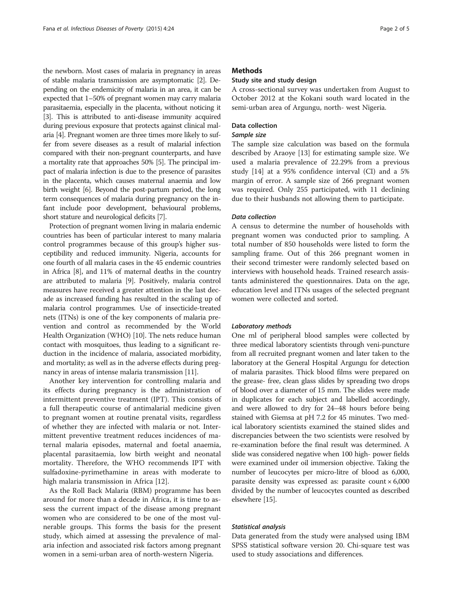the newborn. Most cases of malaria in pregnancy in areas of stable malaria transmission are asymptomatic [\[2\]](#page-3-0). Depending on the endemicity of malaria in an area, it can be expected that 1–50% of pregnant women may carry malaria parasitaemia, especially in the placenta, without noticing it [[3](#page-3-0)]. This is attributed to anti-disease immunity acquired during previous exposure that protects against clinical malaria [[4](#page-3-0)]. Pregnant women are three times more likely to suffer from severe diseases as a result of malarial infection compared with their non-pregnant counterparts, and have a mortality rate that approaches 50% [\[5\]](#page-3-0). The principal impact of malaria infection is due to the presence of parasites in the placenta, which causes maternal anaemia and low birth weight [\[6\]](#page-4-0). Beyond the post-partum period, the long term consequences of malaria during pregnancy on the infant include poor development, behavioural problems, short stature and neurological deficits [[7](#page-4-0)].

Protection of pregnant women living in malaria endemic countries has been of particular interest to many malaria control programmes because of this group's higher susceptibility and reduced immunity. Nigeria, accounts for one fourth of all malaria cases in the 45 endemic countries in Africa [\[8](#page-4-0)], and 11% of maternal deaths in the country are attributed to malaria [\[9\]](#page-4-0). Positively, malaria control measures have received a greater attention in the last decade as increased funding has resulted in the scaling up of malaria control programmes. Use of insecticide-treated nets (ITNs) is one of the key components of malaria prevention and control as recommended by the World Health Organization (WHO) [[10](#page-4-0)]. The nets reduce human contact with mosquitoes, thus leading to a significant reduction in the incidence of malaria, associated morbidity, and mortality; as well as in the adverse effects during pregnancy in areas of intense malaria transmission [\[11\]](#page-4-0).

Another key intervention for controlling malaria and its effects during pregnancy is the administration of intermittent preventive treatment (IPT). This consists of a full therapeutic course of antimalarial medicine given to pregnant women at routine prenatal visits, regardless of whether they are infected with malaria or not. Intermittent preventive treatment reduces incidences of maternal malaria episodes, maternal and foetal anaemia, placental parasitaemia, low birth weight and neonatal mortality. Therefore, the WHO recommends IPT with sulfadoxine-pyrimethamine in areas with moderate to high malaria transmission in Africa [\[12](#page-4-0)].

As the Roll Back Malaria (RBM) programme has been around for more than a decade in Africa, it is time to assess the current impact of the disease among pregnant women who are considered to be one of the most vulnerable groups. This forms the basis for the present study, which aimed at assessing the prevalence of malaria infection and associated risk factors among pregnant women in a semi-urban area of north-western Nigeria.

# **Methods**

# Study site and study design

A cross-sectional survey was undertaken from August to October 2012 at the Kokani south ward located in the semi-urban area of Argungu, north- west Nigeria.

# Data collection

# Sample size

The sample size calculation was based on the formula described by Araoye [\[13\]](#page-4-0) for estimating sample size. We used a malaria prevalence of 22.29% from a previous study [\[14](#page-4-0)] at a 95% confidence interval (CI) and a 5% margin of error. A sample size of 266 pregnant women was required. Only 255 participated, with 11 declining due to their husbands not allowing them to participate.

#### Data collection

A census to determine the number of households with pregnant women was conducted prior to sampling. A total number of 850 households were listed to form the sampling frame. Out of this 266 pregnant women in their second trimester were randomly selected based on interviews with household heads. Trained research assistants administered the questionnaires. Data on the age, education level and ITNs usages of the selected pregnant women were collected and sorted.

#### Laboratory methods

One ml of peripheral blood samples were collected by three medical laboratory scientists through veni-puncture from all recruited pregnant women and later taken to the laboratory at the General Hospital Argungu for detection of malaria parasites. Thick blood films were prepared on the grease- free, clean glass slides by spreading two drops of blood over a diameter of 15 mm. The slides were made in duplicates for each subject and labelled accordingly, and were allowed to dry for 24–48 hours before being stained with Giemsa at pH 7.2 for 45 minutes. Two medical laboratory scientists examined the stained slides and discrepancies between the two scientists were resolved by re-examination before the final result was determined. A slide was considered negative when 100 high- power fields were examined under oil immersion objective. Taking the number of leucocytes per micro-litre of blood as 6,000, parasite density was expressed as: parasite count  $\times$  6,000 divided by the number of leucocytes counted as described elsewhere [\[15](#page-4-0)].

#### Statistical analysis

Data generated from the study were analysed using IBM SPSS statistical software version 20. Chi-square test was used to study associations and differences.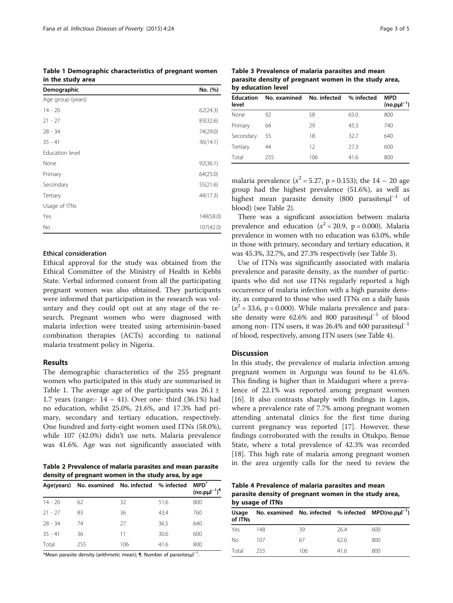Table 1 Demographic characteristics of pregnant women in the study area

| Demographic       | No. (%)   |
|-------------------|-----------|
| Age group (years) |           |
| $14 - 20$         | 62(24.3)  |
| $21 - 27$         | 83(32.6)  |
| $28 - 34$         | 74(29.0)  |
| $35 - 41$         | 36(14.1)  |
| Education level   |           |
| None              | 92(36.1)  |
| Primary           | 64(25.0)  |
| Secondary         | 55(21.6)  |
| Tertiary          | 44(17.3)  |
| Usage of ITNs     |           |
| Yes               | 148(58.0) |
| No                | 107(42.0) |

# Ethical consideration

Ethical approval for the study was obtained from the Ethical Committee of the Ministry of Health in Kebbi State. Verbal informed consent from all the participating pregnant women was also obtained. They participants were informed that participation in the research was voluntary and they could opt out at any stage of the research. Pregnant women who were diagnosed with malaria infection were treated using artemisinin-based combination therapies (ACTs) according to national malaria treatment policy in Nigeria.

# Results

The demographic characteristics of the 255 pregnant women who participated in this study are summarised in Table 1. The average age of the participants was  $26.1 \pm$ 1.7 years (range:-  $14 - 41$ ). Over one- third (36.1%) had no education, whilst 25.0%, 21.6%, and 17.3% had primary, secondary and tertiary education, respectively. One hundred and forty-eight women used ITNs (58.0%), while 107 (42.0%) didn't use nets. Malaria prevalence was 41.6%. Age was not significantly associated with

Table 2 Prevalence of malaria parasites and mean parasite density of pregnant women in the study area, by age

|           | Age(years) No. examined No. infected % infected |     |      | <b>MPD</b> <sup>*</sup>              |
|-----------|-------------------------------------------------|-----|------|--------------------------------------|
|           |                                                 |     |      | $(no.$ p $\mu$ l $^{-1})^{\text{T}}$ |
| $14 - 20$ | 62                                              | 32  | 51.6 | 800                                  |
| $21 - 27$ | 83                                              | 36  | 43.4 | 760                                  |
| 28 - 34   | 74                                              | 27  | 36.5 | 640                                  |
| $35 - 41$ | 36                                              | 11  | 30.6 | 600                                  |
| Total     | 255                                             | 106 | 41.6 | 800                                  |

\*Mean parasite density (arithmetic mean); ¶: Number of parasites $\mu$ l<sup>-1</sup> .

Table 3 Prevalence of malaria parasites and mean parasite density of pregnant women in the study area, by education level

| <b>Education</b><br>level | No. examined No. infected % infected |     |      | <b>MPD</b><br>$(no.$ p $\mu$ $^{-1}$ ) |
|---------------------------|--------------------------------------|-----|------|----------------------------------------|
| None                      | 92                                   | 58  | 63.0 | 800                                    |
| Primary                   | 64                                   | 29  | 45.3 | 740                                    |
| Secondary                 | 55                                   | 18  | 32.7 | 640                                    |
| Tertiary                  | 44                                   | 12  | 27.3 | 600                                    |
| Total                     | 255                                  | 106 | 41.6 | 800                                    |

malaria prevalence ( $x^2 = 5.27$ , p = 0.153); the 14 – 20 age group had the highest prevalence (51.6%), as well as highest mean parasite density (800 parasitesµl<sup>-1</sup> of blood) (see Table 2).

There was a significant association between malaria prevalence and education ( $x^2 = 20.9$ , p = 0.000). Malaria prevalence in women with no education was 63.0%, while in those with primary, secondary and tertiary education, it was 45.3%, 32.7%, and 27.3% respectively (see Table 3).

Use of ITNs was significantly associated with malaria prevalence and parasite density, as the number of participants who did not use ITNs regularly reported a high occurrence of malaria infection with a high parasite density, as compared to those who used ITNs on a daily basis  $(x^2 = 33.6, p = 0.000)$ . While malaria prevalence and parasite density were 62.6% and 800 parasitesµ<sup>-1</sup> of blood among non- ITN users, it was  $26.4\%$  and  $600$  parasites $\mu$ l<sup>-1</sup> of blood, respectively, among ITN users (see Table 4).

## **Discussion**

In this study, the prevalence of malaria infection among pregnant women in Argungu was found to be 41.6%. This finding is higher than in Maiduguri where a prevalence of 22.1% was reported among pregnant women [[16\]](#page-4-0). It also contrasts sharply with findings in Lagos, where a prevalence rate of 7.7% among pregnant women attending antenatal clinics for the first time during current pregnancy was reported [[17\]](#page-4-0). However, these findings corroborated with the results in Otukpo, Benue State, where a total prevalence of 42.3% was recorded [[18\]](#page-4-0). This high rate of malaria among pregnant women in the area urgently calls for the need to review the

Table 4 Prevalence of malaria parasites and mean parasite density of pregnant women in the study area, by usage of ITNs

| Usage<br>of ITNs |     |     |      | No. examined No. infected % infected MPD(no.pµl <sup>-1</sup> ) |  |
|------------------|-----|-----|------|-----------------------------------------------------------------|--|
| Yes              | 148 | 39  | 26.4 | 600                                                             |  |
| No               | 107 | 67  | 62.6 | 800                                                             |  |
| Total            | 255 | 106 | 41.6 | 800                                                             |  |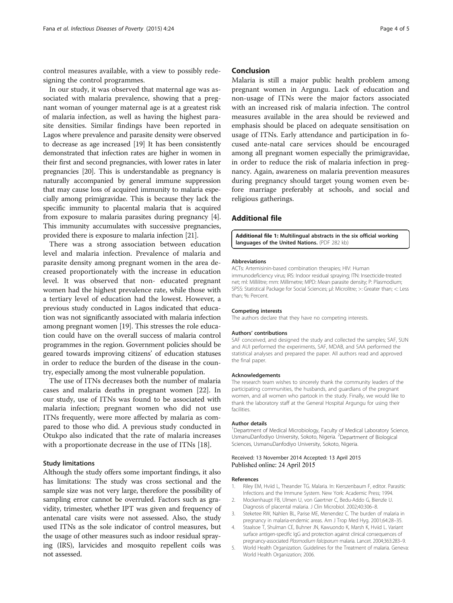<span id="page-3-0"></span>control measures available, with a view to possibly redesigning the control programmes.

In our study, it was observed that maternal age was associated with malaria prevalence, showing that a pregnant woman of younger maternal age is at a greatest risk of malaria infection, as well as having the highest parasite densities. Similar findings have been reported in Lagos where prevalence and parasite density were observed to decrease as age increased [\[19\]](#page-4-0) It has been consistently demonstrated that infection rates are higher in women in their first and second pregnancies, with lower rates in later pregnancies [[20](#page-4-0)]. This is understandable as pregnancy is naturally accompanied by general immune suppression that may cause loss of acquired immunity to malaria especially among primigravidae. This is because they lack the specific immunity to placental malaria that is acquired from exposure to malaria parasites during pregnancy [4]. This immunity accumulates with successive pregnancies, provided there is exposure to malaria infection [\[21\]](#page-4-0).

There was a strong association between education level and malaria infection. Prevalence of malaria and parasite density among pregnant women in the area decreased proportionately with the increase in education level. It was observed that non- educated pregnant women had the highest prevalence rate, while those with a tertiary level of education had the lowest. However, a previous study conducted in Lagos indicated that education was not significantly associated with malaria infection among pregnant women [\[19\]](#page-4-0). This stresses the role education could have on the overall success of malaria control programmes in the region. Government policies should be geared towards improving citizens' of education statuses in order to reduce the burden of the disease in the country, especially among the most vulnerable population.

The use of ITNs decreases both the number of malaria cases and malaria deaths in pregnant women [[22\]](#page-4-0). In our study, use of ITNs was found to be associated with malaria infection; pregnant women who did not use ITNs frequently, were more affected by malaria as compared to those who did. A previous study conducted in Otukpo also indicated that the rate of malaria increases with a proportionate decrease in the use of ITNs [\[18\]](#page-4-0).

#### Study limitations

Although the study offers some important findings, it also has limitations: The study was cross sectional and the sample size was not very large, therefore the possibility of sampling error cannot be overruled. Factors such as gravidity, trimester, whether IPT was given and frequency of antenatal care visits were not assessed. Also, the study used ITNs as the sole indicator of control measures, but the usage of other measures such as indoor residual spraying (IRS), larvicides and mosquito repellent coils was not assessed.

#### Conclusion

Malaria is still a major public health problem among pregnant women in Argungu. Lack of education and non-usage of ITNs were the major factors associated with an increased risk of malaria infection. The control measures available in the area should be reviewed and emphasis should be placed on adequate sensitisation on usage of ITNs. Early attendance and participation in focused ante-natal care services should be encouraged among all pregnant women especially the primigravidae, in order to reduce the risk of malaria infection in pregnancy. Again, awareness on malaria prevention measures during pregnancy should target young women even before marriage preferably at schools, and social and religious gatherings.

## Additional file

[Additional file 1:](http://www.idpjournal.com/content/supplementary/s40249-015-0054-0-s1.pdf) Multilingual abstracts in the six official working languages of the United Nations. (PDF 282 kb)

#### Abbreviations

ACTs: Artemisinin-based combination therapies; HIV: Human immunodeficiency virus; IRS: Indoor residual spraying; ITN: Insecticide-treated net; ml: Millilitre; mm: Millimetre; MPD: Mean parasite density; P: Plasmodium; SPSS: Statistical Package for Social Sciences; μl: Microlitre; >: Greater than; <: Less than; %: Percent.

#### Competing interests

The authors declare that they have no competing interests.

#### Authors' contributions

SAF conceived, and designed the study and collected the samples; SAF, SUN and AUI performed the experiments, SAF, MDAB, and SAA performed the statistical analyses and prepared the paper. All authors read and approved the final paper.

#### Acknowledgements

The research team wishes to sincerely thank the community leaders of the participating communities, the husbands, and guardians of the pregnant women, and all women who partook in the study. Finally, we would like to thank the laboratory staff at the General Hospital Argungu for using their facilities.

#### Author details

<sup>1</sup>Department of Medical Microbiology, Faculty of Medical Laboratory Science UsmanuDanfodiyo University, Sokoto, Nigeria. <sup>2</sup>Department of Biological Sciences, UsmanuDanfodiyo University, Sokoto, Nigeria.

#### Received: 13 November 2014 Accepted: 13 April 2015 Published online: 24 April 2015

#### References

- 1. Riley EM, Hviid L, Theander TG. Malaria. In: Kierszenbaum F, editor. Parasitic Infections and the Immune System. New York: Academic Press; 1994.
- 2. Mockenhaupt FB, Ulmen U, von Gaertner C, Bedu-Addo G, Bienzle U. Diagnosis of placental malaria. J Clin Microbiol. 2002;40:306–8.
- 3. Steketee RW, Nahlen BL, Parise ME, Menendez C. The burden of malaria in pregnancy in malaria-endemic areas. Am J Trop Med Hyg. 2001;64:28–35.
- 4. Staalsoe T, Shulman CE, Buhner JN, Kawuondo K, Marsh K, Hviid L. Variant surface antigen-specific IgG and protection against clinical consequences of pregnancy-associated Plasmodium falciparum malaria. Lancet. 2004;363:283–9.
- 5. World Health Organization. Guidelines for the Treatment of malaria. Geneva: World Health Organization; 2006.